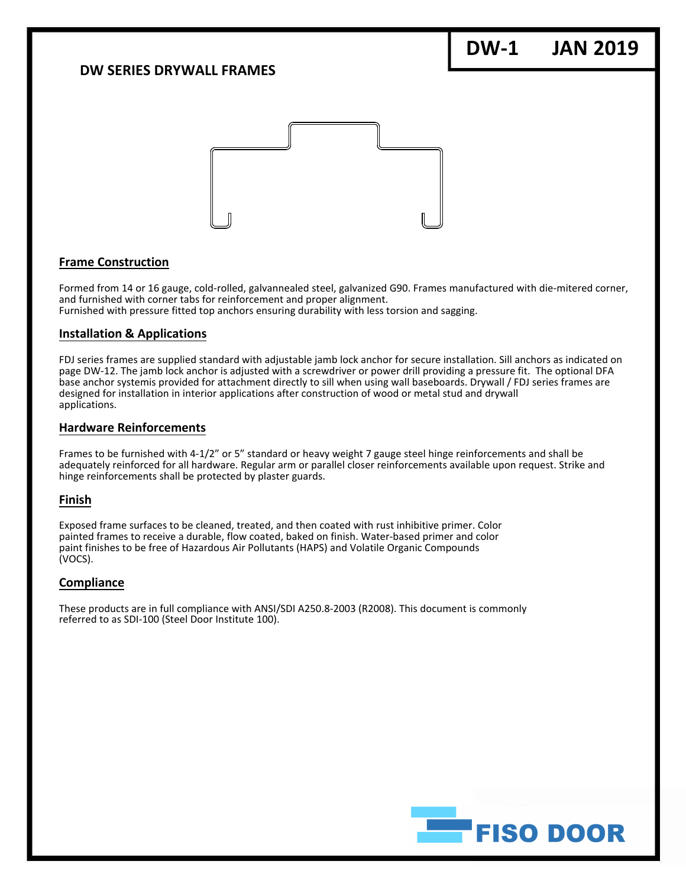## **DW SERIES DRYWALL FRAMES**

# **DW‐1 JAN 2019**



### **Frame Construction**

Formed from 14 or 16 gauge, cold‐rolled, galvannealed steel, galvanized G90. Frames manufactured with die‐mitered corner, and furnished with corner tabs for reinforcement and proper alignment. Furnished with pressure fitted top anchors ensuring durability with less torsion and sagging.

#### **Installation & Applications**

FDJ series frames are supplied standard with adjustable jamb lock anchor for secure installation. Sill anchors as indicated on page DW‐12. The jamb lock anchor is adjusted with a screwdriver or power drill providing a pressure fit. The optional DFA base anchor systemis provided for attachment directly to sill when using wall baseboards. Drywall / FDJ series frames are designed for installation in interior applications after construction of wood or metal stud and drywall applications.

#### **Hardware Reinforcements**

Frames to be furnished with 4‐1/2" or 5" standard or heavy weight 7 gauge steel hinge reinforcements and shall be adequately reinforced for all hardware. Regular arm or parallel closer reinforcements available upon request. Strike and hinge reinforcements shall be protected by plaster guards.

#### **Finish**

Exposed frame surfaces to be cleaned, treated, and then coated with rust inhibitive primer. Color painted frames to receive a durable, flow coated, baked on finish. Water-based primer and color paint finishes to be free of Hazardous Air Pollutants (HAPS) and Volatile Organic Compounds (VOCS).

#### **Compliance**

These products are in full compliance with ANSI/SDI A250.8‐2003 (R2008). This document is commonly referred to as SDI‐100 (Steel Door Institute 100).

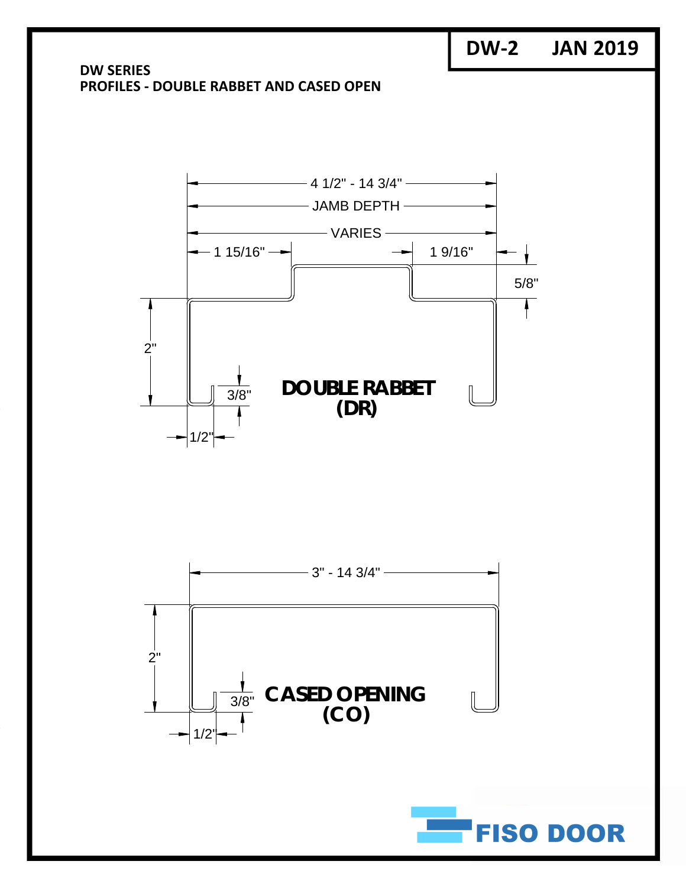